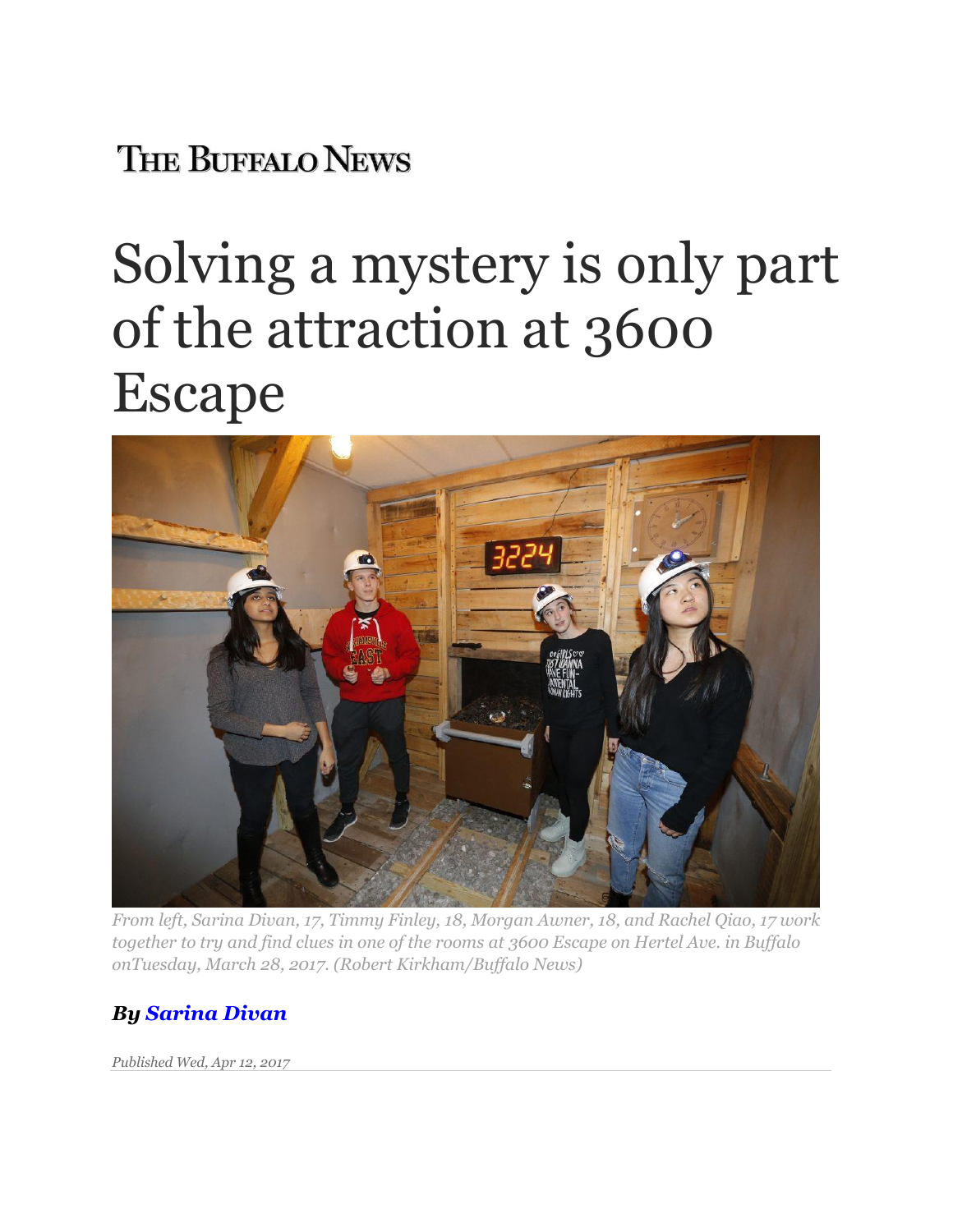## **THE BUFFALO NEWS**

## Solving a mystery is only part of the attraction at 3600 Escape



*From left, Sarina Divan, 17, Timmy Finley, 18, Morgan Awner, 18, and Rachel Qiao, 17 work together to try and find clues in one of the rooms at 3600 Escape on Hertel Ave. in Buffalo onTuesday, March 28, 2017. (Robert Kirkham/Buffalo News)*

## *By [Sarina Divan](http://buffalonews.com/author/sarina-divan/)*

*Published Wed, Apr 12, 2017*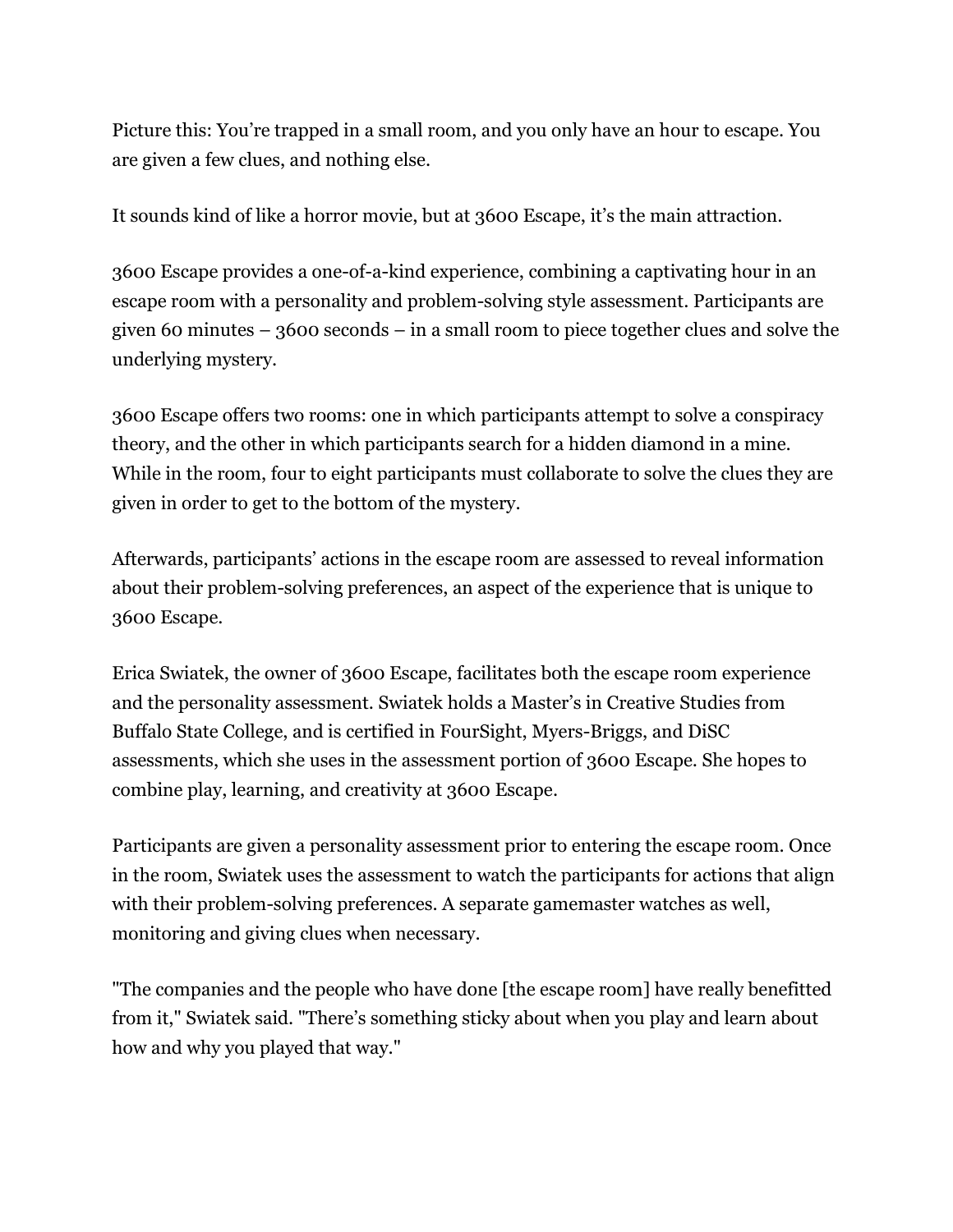Picture this: You're trapped in a small room, and you only have an hour to escape. You are given a few clues, and nothing else.

It sounds kind of like a horror movie, but at 3600 Escape, it's the main attraction.

3600 Escape provides a one-of-a-kind experience, combining a captivating hour in an escape room with a personality and problem-solving style assessment. Participants are given 60 minutes – 3600 seconds – in a small room to piece together clues and solve the underlying mystery.

3600 Escape offers two rooms: one in which participants attempt to solve a conspiracy theory, and the other in which participants search for a hidden diamond in a mine. While in the room, four to eight participants must collaborate to solve the clues they are given in order to get to the bottom of the mystery.

Afterwards, participants' actions in the escape room are assessed to reveal information about their problem-solving preferences, an aspect of the experience that is unique to 3600 Escape.

Erica Swiatek, the owner of 3600 Escape, facilitates both the escape room experience and the personality assessment. Swiatek holds a Master's in Creative Studies from Buffalo State College, and is certified in FourSight, Myers-Briggs, and DiSC assessments, which she uses in the assessment portion of 3600 Escape. She hopes to combine play, learning, and creativity at 3600 Escape.

Participants are given a personality assessment prior to entering the escape room. Once in the room, Swiatek uses the assessment to watch the participants for actions that align with their problem-solving preferences. A separate gamemaster watches as well, monitoring and giving clues when necessary.

"The companies and the people who have done [the escape room] have really benefitted from it," Swiatek said. "There's something sticky about when you play and learn about how and why you played that way."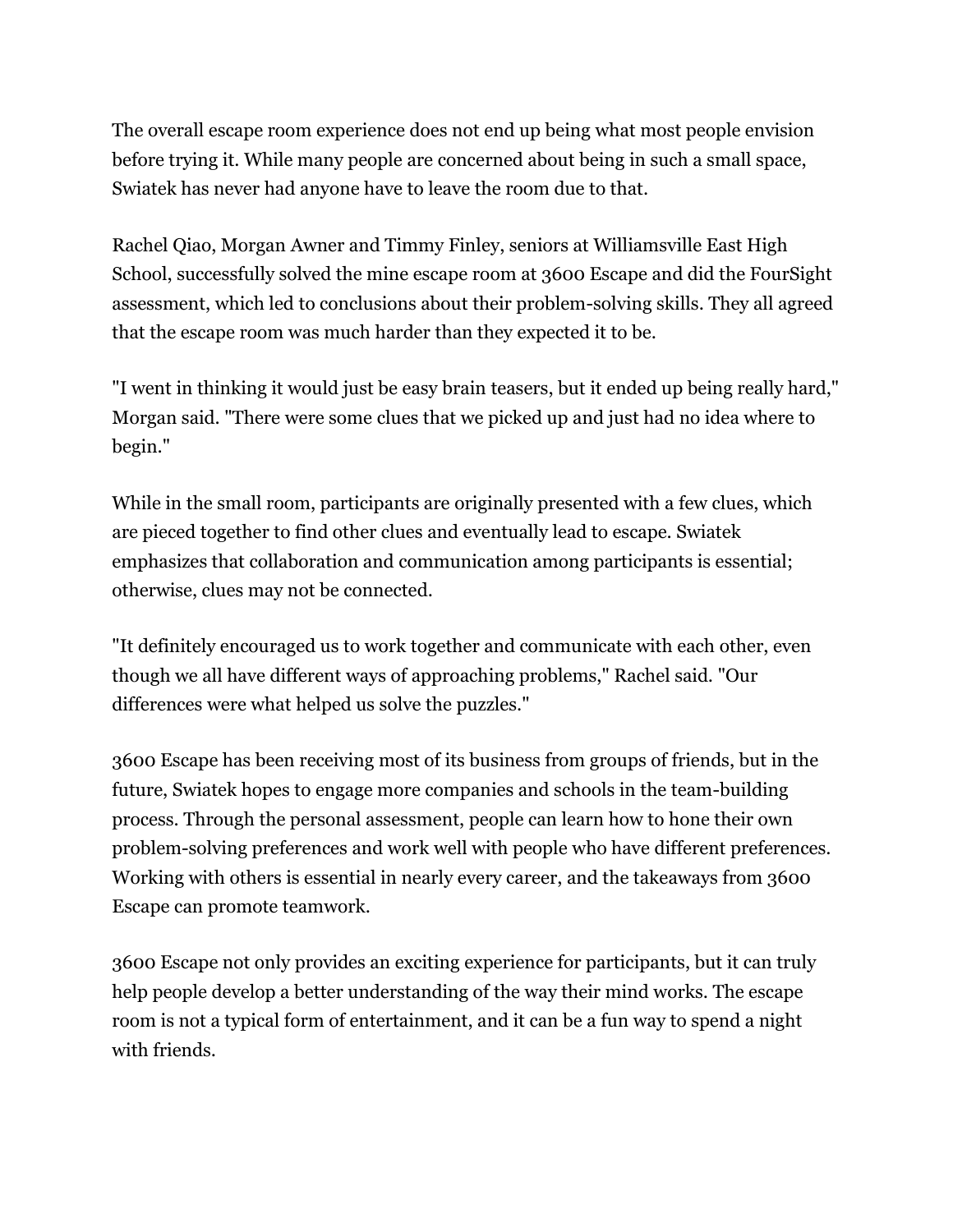The overall escape room experience does not end up being what most people envision before trying it. While many people are concerned about being in such a small space, Swiatek has never had anyone have to leave the room due to that.

Rachel Qiao, Morgan Awner and Timmy Finley, seniors at Williamsville East High School, successfully solved the mine escape room at 3600 Escape and did the FourSight assessment, which led to conclusions about their problem-solving skills. They all agreed that the escape room was much harder than they expected it to be.

"I went in thinking it would just be easy brain teasers, but it ended up being really hard," Morgan said. "There were some clues that we picked up and just had no idea where to begin."

While in the small room, participants are originally presented with a few clues, which are pieced together to find other clues and eventually lead to escape. Swiatek emphasizes that collaboration and communication among participants is essential; otherwise, clues may not be connected.

"It definitely encouraged us to work together and communicate with each other, even though we all have different ways of approaching problems," Rachel said. "Our differences were what helped us solve the puzzles."

3600 Escape has been receiving most of its business from groups of friends, but in the future, Swiatek hopes to engage more companies and schools in the team-building process. Through the personal assessment, people can learn how to hone their own problem-solving preferences and work well with people who have different preferences. Working with others is essential in nearly every career, and the takeaways from 3600 Escape can promote teamwork.

3600 Escape not only provides an exciting experience for participants, but it can truly help people develop a better understanding of the way their mind works. The escape room is not a typical form of entertainment, and it can be a fun way to spend a night with friends.